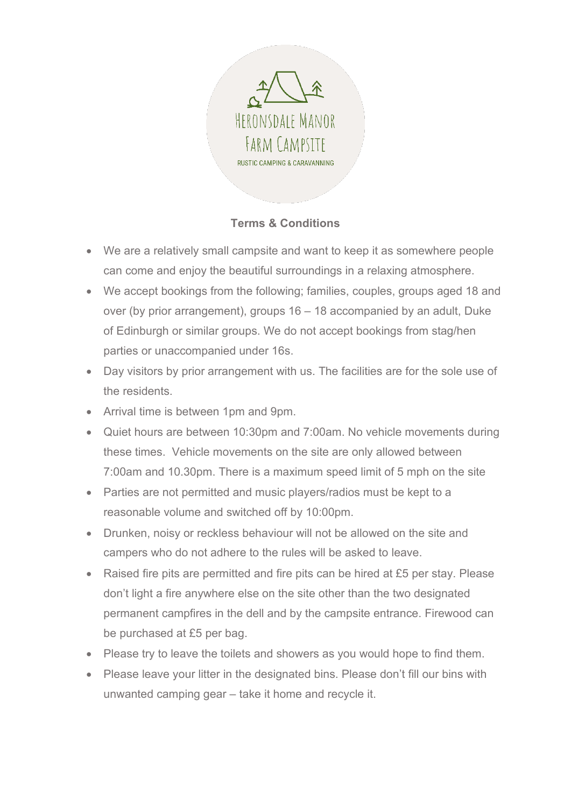

## **Terms & Conditions**

- We are a relatively small campsite and want to keep it as somewhere people can come and enjoy the beautiful surroundings in a relaxing atmosphere.
- We accept bookings from the following; families, couples, groups aged 18 and over (by prior arrangement), groups 16 – 18 accompanied by an adult, Duke of Edinburgh or similar groups. We do not accept bookings from stag/hen parties or unaccompanied under 16s.
- Day visitors by prior arrangement with us. The facilities are for the sole use of the residents.
- Arrival time is between 1pm and 9pm.
- Quiet hours are between 10:30pm and 7:00am. No vehicle movements during these times. Vehicle movements on the site are only allowed between 7:00am and 10.30pm. There is a maximum speed limit of 5 mph on the site
- Parties are not permitted and music players/radios must be kept to a reasonable volume and switched off by 10:00pm.
- Drunken, noisy or reckless behaviour will not be allowed on the site and campers who do not adhere to the rules will be asked to leave.
- Raised fire pits are permitted and fire pits can be hired at £5 per stay. Please don't light a fire anywhere else on the site other than the two designated permanent campfires in the dell and by the campsite entrance. Firewood can be purchased at £5 per bag.
- Please try to leave the toilets and showers as you would hope to find them.
- Please leave your litter in the designated bins. Please don't fill our bins with unwanted camping gear – take it home and recycle it.